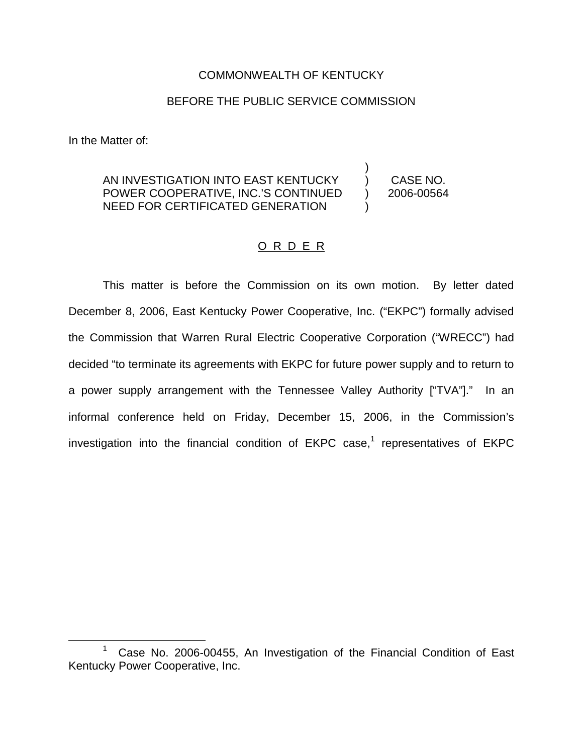## COMMONWEALTH OF KENTUCKY

### BEFORE THE PUBLIC SERVICE COMMISSION

In the Matter of:

#### AN INVESTIGATION INTO EAST KENTUCKY POWER COOPERATIVE, INC.'S CONTINUED NEED FOR CERTIFICATED GENERATION ) ) CASE NO. ) 2006-00564 )

## O R D E R

This matter is before the Commission on its own motion. By letter dated December 8, 2006, East Kentucky Power Cooperative, Inc. ("EKPC") formally advised the Commission that Warren Rural Electric Cooperative Corporation ("WRECC") had decided "to terminate its agreements with EKPC for future power supply and to return to a power supply arrangement with the Tennessee Valley Authority ["TVA"]." In an informal conference held on Friday, December 15, 2006, in the Commission's investigation into the financial condition of  $E KPC$  case,<sup>1</sup> representatives of  $E KPC$ 

<sup>&</sup>lt;sup>1</sup> Case No. 2006-00455, An Investigation of the Financial Condition of East Kentucky Power Cooperative, Inc.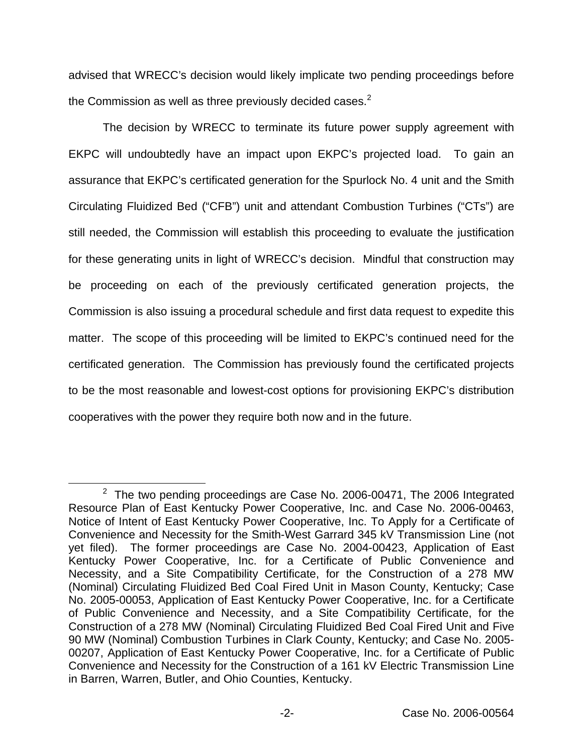advised that WRECC's decision would likely implicate two pending proceedings before the Commission as well as three previously decided cases.<sup>2</sup>

The decision by WRECC to terminate its future power supply agreement with EKPC will undoubtedly have an impact upon EKPC's projected load. To gain an assurance that EKPC's certificated generation for the Spurlock No. 4 unit and the Smith Circulating Fluidized Bed ("CFB") unit and attendant Combustion Turbines ("CTs") are still needed, the Commission will establish this proceeding to evaluate the justification for these generating units in light of WRECC's decision. Mindful that construction may be proceeding on each of the previously certificated generation projects, the Commission is also issuing a procedural schedule and first data request to expedite this matter. The scope of this proceeding will be limited to EKPC's continued need for the certificated generation. The Commission has previously found the certificated projects to be the most reasonable and lowest-cost options for provisioning EKPC's distribution cooperatives with the power they require both now and in the future.

 $2$  The two pending proceedings are Case No. 2006-00471, The 2006 Integrated Resource Plan of East Kentucky Power Cooperative, Inc. and Case No. 2006-00463, Notice of Intent of East Kentucky Power Cooperative, Inc. To Apply for a Certificate of Convenience and Necessity for the Smith-West Garrard 345 kV Transmission Line (not yet filed). The former proceedings are Case No. 2004-00423, Application of East Kentucky Power Cooperative, Inc. for a Certificate of Public Convenience and Necessity, and a Site Compatibility Certificate, for the Construction of a 278 MW (Nominal) Circulating Fluidized Bed Coal Fired Unit in Mason County, Kentucky; Case No. 2005-00053, Application of East Kentucky Power Cooperative, Inc. for a Certificate of Public Convenience and Necessity, and a Site Compatibility Certificate, for the Construction of a 278 MW (Nominal) Circulating Fluidized Bed Coal Fired Unit and Five 90 MW (Nominal) Combustion Turbines in Clark County, Kentucky; and Case No. 2005- 00207, Application of East Kentucky Power Cooperative, Inc. for a Certificate of Public Convenience and Necessity for the Construction of a 161 kV Electric Transmission Line in Barren, Warren, Butler, and Ohio Counties, Kentucky.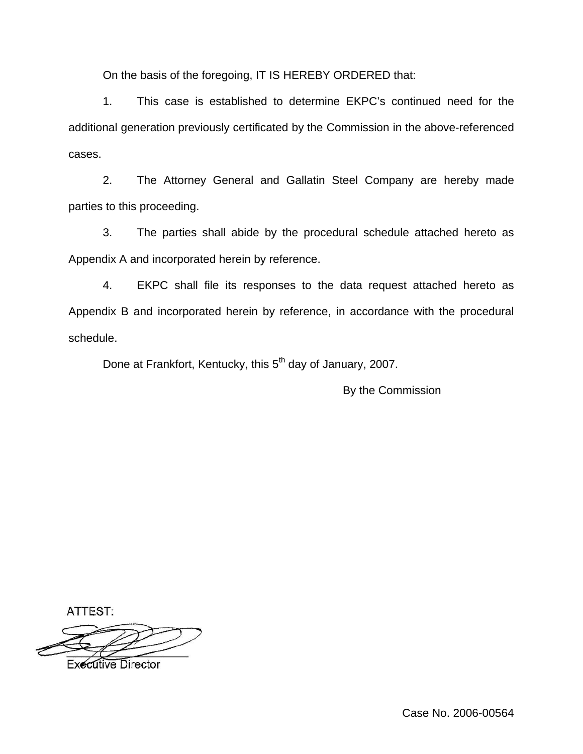On the basis of the foregoing, IT IS HEREBY ORDERED that:

1. This case is established to determine EKPC's continued need for the additional generation previously certificated by the Commission in the above-referenced cases.

2. The Attorney General and Gallatin Steel Company are hereby made parties to this proceeding.

3. The parties shall abide by the procedural schedule attached hereto as Appendix A and incorporated herein by reference.

4. EKPC shall file its responses to the data request attached hereto as Appendix B and incorporated herein by reference, in accordance with the procedural schedule.

Done at Frankfort, Kentucky, this 5<sup>th</sup> day of January, 2007.

By the Commission

ATTEST:

**Executive Director**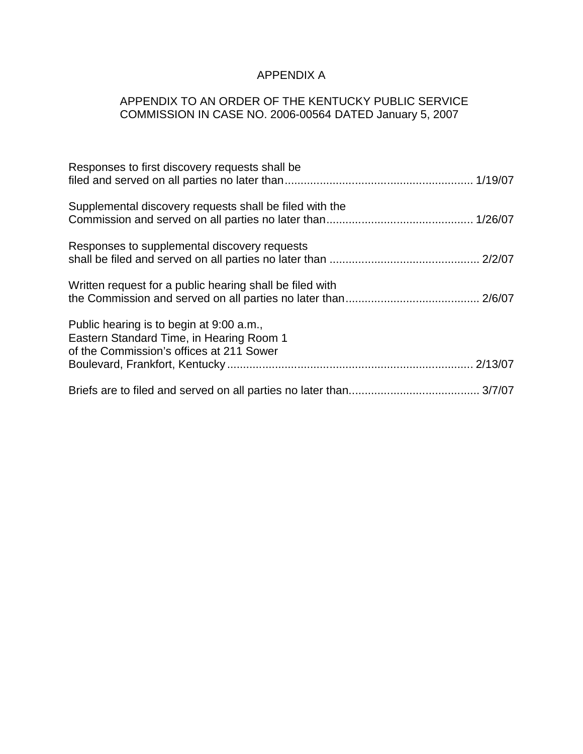# APPENDIX A

## APPENDIX TO AN ORDER OF THE KENTUCKY PUBLIC SERVICE COMMISSION IN CASE NO. 2006-00564 DATED January 5, 2007

| Responses to first discovery requests shall be                                                                                   |  |
|----------------------------------------------------------------------------------------------------------------------------------|--|
| Supplemental discovery requests shall be filed with the                                                                          |  |
| Responses to supplemental discovery requests                                                                                     |  |
| Written request for a public hearing shall be filed with                                                                         |  |
| Public hearing is to begin at 9:00 a.m.,<br>Eastern Standard Time, in Hearing Room 1<br>of the Commission's offices at 211 Sower |  |
|                                                                                                                                  |  |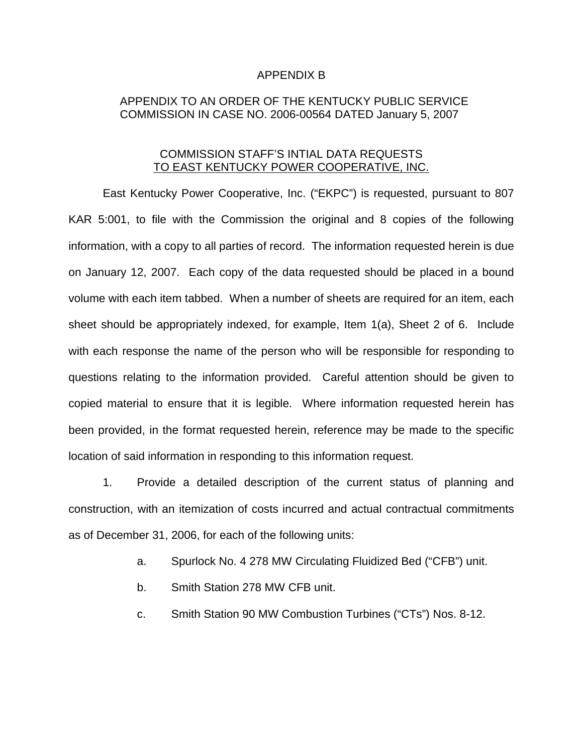#### APPENDIX B

## APPENDIX TO AN ORDER OF THE KENTUCKY PUBLIC SERVICE COMMISSION IN CASE NO. 2006-00564 DATED January 5, 2007

## COMMISSION STAFF'S INTIAL DATA REQUESTS TO EAST KENTUCKY POWER COOPERATIVE, INC.

East Kentucky Power Cooperative, Inc. ("EKPC") is requested, pursuant to 807 KAR 5:001, to file with the Commission the original and 8 copies of the following information, with a copy to all parties of record. The information requested herein is due on January 12, 2007. Each copy of the data requested should be placed in a bound volume with each item tabbed. When a number of sheets are required for an item, each sheet should be appropriately indexed, for example, Item 1(a), Sheet 2 of 6. Include with each response the name of the person who will be responsible for responding to questions relating to the information provided. Careful attention should be given to copied material to ensure that it is legible. Where information requested herein has been provided, in the format requested herein, reference may be made to the specific location of said information in responding to this information request.

1. Provide a detailed description of the current status of planning and construction, with an itemization of costs incurred and actual contractual commitments as of December 31, 2006, for each of the following units:

- a. Spurlock No. 4 278 MW Circulating Fluidized Bed ("CFB") unit.
- b. Smith Station 278 MW CFB unit.
- c. Smith Station 90 MW Combustion Turbines ("CTs") Nos. 8-12.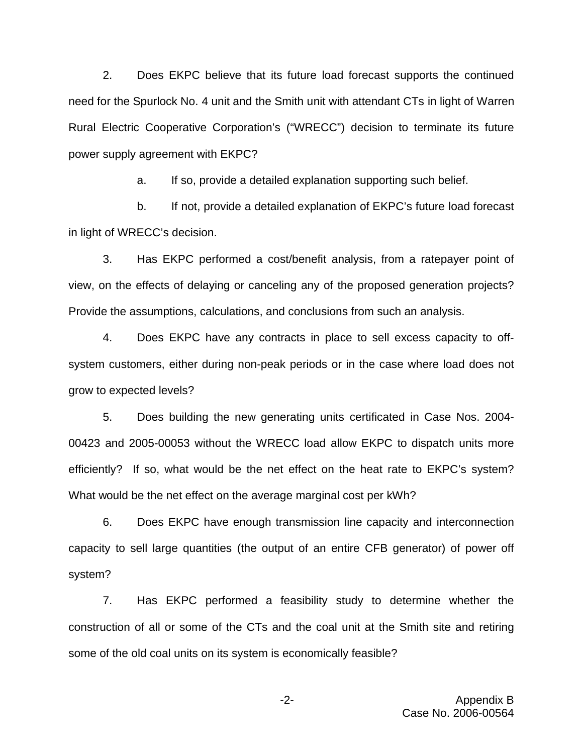2. Does EKPC believe that its future load forecast supports the continued need for the Spurlock No. 4 unit and the Smith unit with attendant CTs in light of Warren Rural Electric Cooperative Corporation's ("WRECC") decision to terminate its future power supply agreement with EKPC?

a. If so, provide a detailed explanation supporting such belief.

b. If not, provide a detailed explanation of EKPC's future load forecast in light of WRECC's decision.

3. Has EKPC performed a cost/benefit analysis, from a ratepayer point of view, on the effects of delaying or canceling any of the proposed generation projects? Provide the assumptions, calculations, and conclusions from such an analysis.

4. Does EKPC have any contracts in place to sell excess capacity to offsystem customers, either during non-peak periods or in the case where load does not grow to expected levels?

5. Does building the new generating units certificated in Case Nos. 2004- 00423 and 2005-00053 without the WRECC load allow EKPC to dispatch units more efficiently? If so, what would be the net effect on the heat rate to EKPC's system? What would be the net effect on the average marginal cost per kWh?

6. Does EKPC have enough transmission line capacity and interconnection capacity to sell large quantities (the output of an entire CFB generator) of power off system?

7. Has EKPC performed a feasibility study to determine whether the construction of all or some of the CTs and the coal unit at the Smith site and retiring some of the old coal units on its system is economically feasible?